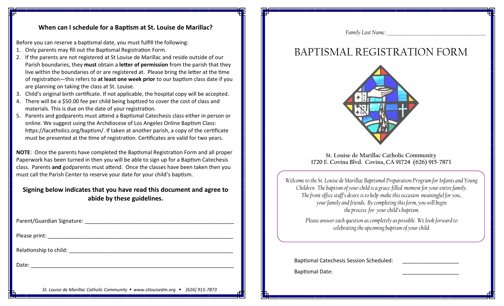#### **When can I schedule for a Baptism at St. Louise de Marillac?**

Before you can reserve a baptismal date, you must fulfill the following:

- 1. Only parents may fill out the Baptismal Registration Form.
- 2. If the parents are not registered at St Louise de Marillac and reside outside of our Parish boundaries, they **must** obtain a **letter of permission** from the parish that they live within the boundaries of or are registered at. Please bring the letter at the time of registration—this refers to **at least one week prior** to our baptism class date if you are planning on taking the class at St. Louise.
- 3. Child's original birth certificate. If not applicable, the hospital copy will be accepted.
- 4. There will be a \$50.00 fee per child being baptized to cover the cost of class and materials. This is due on the date of your registration.
- 5. Parents and godparents must attend a Baptismal Catechesis class either in person or online. We suggest using the Archdiocese of Los Angeles Online Baptism Class: https://lacatholics.org/baptism/. If taken at another parish, a copy of the certificate must be presented at the time of registration. Certificates are valid for two years.

**NOTE**: Once the parents have completed the Baptismal Registration Form and all proper Paperwork has been turned in then you will be able to sign up for a Baptism Catechesis class. Parents **and** godparents must attend. Once the classes have been taken then you must call the Parish Center to reserve your date for your child's baptism.

### **Signing below indicates that you have read this document and agree to abide by these guidelines.**

| Date: |  |
|-------|--|

*Family Last Name:* 

# BAPTISMAL REGISTRATION FORM



**St. Louise de Marillac Catholic Community 1720 E. Covina Blvd. Covina, CA 91724 (626) 915-7873**

*Welcome to the St. Louise de Marillac Baptismal Preparation Program for Infants and Young Children. The baptism of your child is a grace-filled moment for your entire family. The front office staff's desire is to help make this occasion meaningful for you., your family and friends. By completing this form, you will begin the process for your child's baptism.* 

> *Please answer each question as completely as possible. We look forward to celebrating the upcoming baptism of your child.*

Baptismal Catechesis Session Scheduled:

Baptismal Date:

*St. Louise de Marillac Catholic Community www.stlouisedm.org [626] 915-7873*